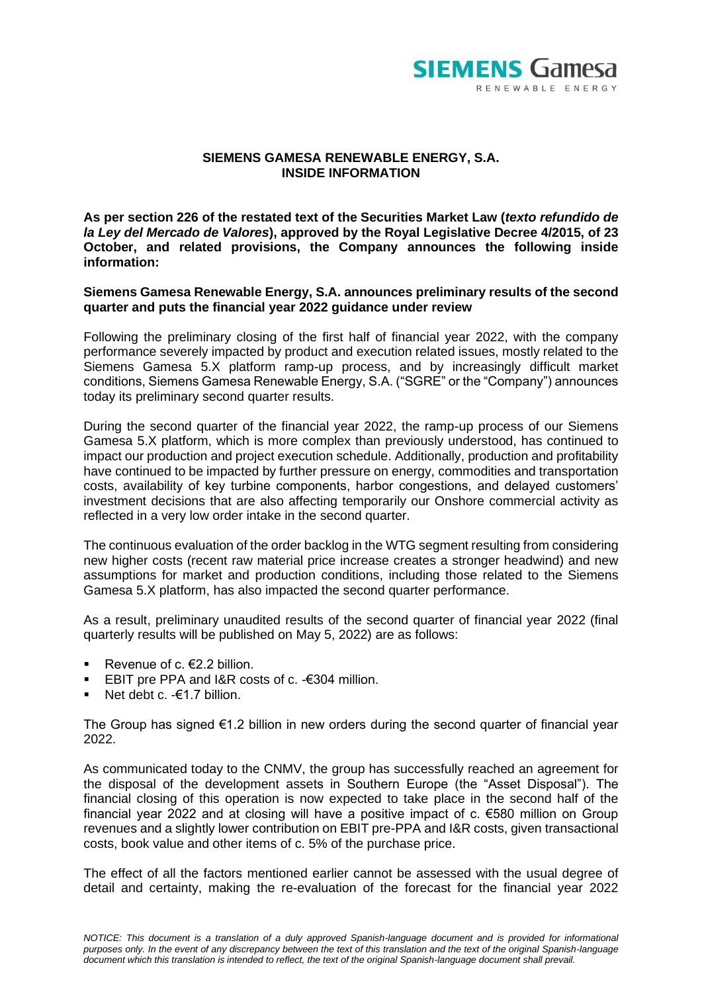

## **SIEMENS GAMESA RENEWABLE ENERGY, S.A. INSIDE INFORMATION**

**As per section 226 of the restated text of the Securities Market Law (***texto refundido de la Ley del Mercado de Valores***), approved by the Royal Legislative Decree 4/2015, of 23 October, and related provisions, the Company announces the following inside information:**

## **Siemens Gamesa Renewable Energy, S.A. announces preliminary results of the second quarter and puts the financial year 2022 guidance under review**

Following the preliminary closing of the first half of financial year 2022, with the company performance severely impacted by product and execution related issues, mostly related to the Siemens Gamesa 5.X platform ramp-up process, and by increasingly difficult market conditions, Siemens Gamesa Renewable Energy, S.A. ("SGRE" or the "Company") announces today its preliminary second quarter results.

During the second quarter of the financial year 2022, the ramp-up process of our Siemens Gamesa 5.X platform, which is more complex than previously understood, has continued to impact our production and project execution schedule. Additionally, production and profitability have continued to be impacted by further pressure on energy, commodities and transportation costs, availability of key turbine components, harbor congestions, and delayed customers' investment decisions that are also affecting temporarily our Onshore commercial activity as reflected in a very low order intake in the second quarter.

The continuous evaluation of the order backlog in the WTG segment resulting from considering new higher costs (recent raw material price increase creates a stronger headwind) and new assumptions for market and production conditions, including those related to the Siemens Gamesa 5.X platform, has also impacted the second quarter performance.

As a result, preliminary unaudited results of the second quarter of financial year 2022 (final quarterly results will be published on May 5, 2022) are as follows:

- Revenue of  $c. €2.2$  billion.
- EBIT pre PPA and  $1&R$  costs of c.  $-6304$  million.
- Net debt c.  $-61.7$  billion.

The Group has signed €1.2 billion in new orders during the second quarter of financial year 2022.

As communicated today to the CNMV, the group has successfully reached an agreement for the disposal of the development assets in Southern Europe (the "Asset Disposal"). The financial closing of this operation is now expected to take place in the second half of the financial year 2022 and at closing will have a positive impact of c. €580 million on Group revenues and a slightly lower contribution on EBIT pre-PPA and I&R costs, given transactional costs, book value and other items of c. 5% of the purchase price.

The effect of all the factors mentioned earlier cannot be assessed with the usual degree of detail and certainty, making the re-evaluation of the forecast for the financial year 2022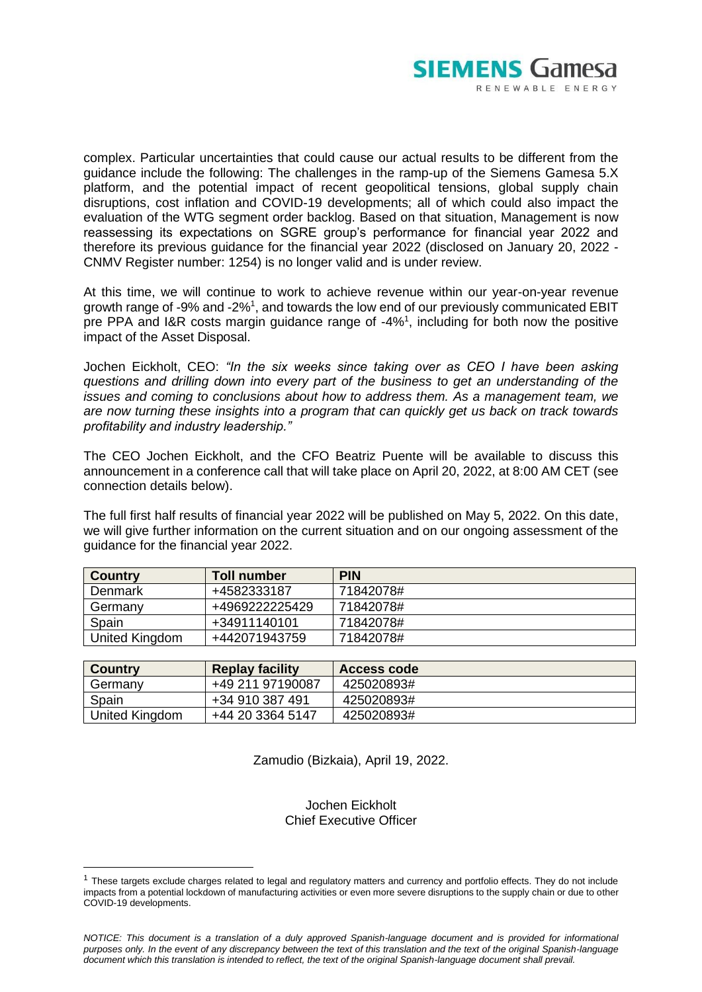

complex. Particular uncertainties that could cause our actual results to be different from the guidance include the following: The challenges in the ramp-up of the Siemens Gamesa 5.X platform, and the potential impact of recent geopolitical tensions, global supply chain disruptions, cost inflation and COVID-19 developments; all of which could also impact the evaluation of the WTG segment order backlog. Based on that situation, Management is now reassessing its expectations on SGRE group's performance for financial year 2022 and therefore its previous guidance for the financial year 2022 (disclosed on January 20, 2022 - CNMV Register number: 1254) is no longer valid and is under review.

At this time, we will continue to work to achieve revenue within our year-on-year revenue growth range of -9% and -2%<sup>1</sup>, and towards the low end of our previously communicated EBIT pre PPA and I&R costs margin guidance range of -4%<sup>1</sup>, including for both now the positive impact of the Asset Disposal.

Jochen Eickholt, CEO: *"In the six weeks since taking over as CEO I have been asking questions and drilling down into every part of the business to get an understanding of the issues and coming to conclusions about how to address them. As a management team, we are now turning these insights into a program that can quickly get us back on track towards profitability and industry leadership."*

The CEO Jochen Eickholt, and the CFO Beatriz Puente will be available to discuss this announcement in a conference call that will take place on April 20, 2022, at 8:00 AM CET (see connection details below).

The full first half results of financial year 2022 will be published on May 5, 2022. On this date, we will give further information on the current situation and on our ongoing assessment of the guidance for the financial year 2022.

| <b>Country</b> | Toll number    | <b>PIN</b> |
|----------------|----------------|------------|
| Denmark        | +4582333187    | 71842078#  |
| Germany        | +4969222225429 | 71842078#  |
| Spain          | +34911140101   | 71842078#  |
| United Kingdom | +442071943759  | 71842078#  |

| <b>Country</b> | <b>Replay facility</b> | <b>Access code</b> |
|----------------|------------------------|--------------------|
| Germany        | +49 211 97190087       | 425020893#         |
| Spain          | +34 910 387 491        | 425020893#         |
| United Kingdom | +44 20 3364 5147       | 425020893#         |

Zamudio (Bizkaia), April 19, 2022.

Jochen Eickholt Chief Executive Officer

<sup>&</sup>lt;sup>1</sup> These targets exclude charges related to legal and regulatory matters and currency and portfolio effects. They do not include impacts from a potential lockdown of manufacturing activities or even more severe disruptions to the supply chain or due to other COVID-19 developments.

*NOTICE: This document is a translation of a duly approved Spanish-language document and is provided for informational purposes only. In the event of any discrepancy between the text of this translation and the text of the original Spanish-language document which this translation is intended to reflect, the text of the original Spanish-language document shall prevail.*